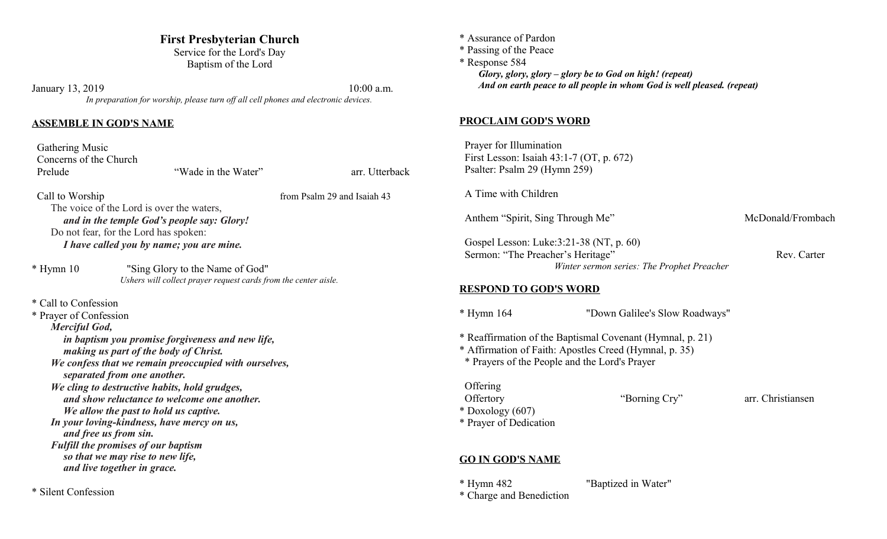# **First Presbyterian Church**

Service for the Lord's Day Baptism of the Lord

January 13, 2019 10:00 a.m. *In preparation for worship, please turn off all cell phones and electronic devices.*

#### **ASSEMBLE IN GOD'S NAME**

 Gathering Music Concerns of the Church Prelude "Wade in the Water" arr. Utterback

Call to Worship from Psalm 29 and Isaiah 43 The voice of the Lord is over the waters,

*and in the temple God's people say: Glory!* Do not fear, for the Lord has spoken:

*I have called you by name; you are mine.*

| $*$ Hymn 10 | "Sing Glory to the Name of God"                                 |
|-------------|-----------------------------------------------------------------|
|             | Ushers will collect prayer request cards from the center aisle. |

## \* Call to Confession

\* Prayer of Confession

*Merciful God,*

*in baptism you promise forgiveness and new life, making us part of the body of Christ.*

*We confess that we remain preoccupied with ourselves, separated from one another.*

*We cling to destructive habits, hold grudges, and show reluctance to welcome one another. We allow the past to hold us captive.*

*In your loving-kindness, have mercy on us, and free us from sin. Fulfill the promises of our baptism so that we may rise to new life,*

*and live together in grace.*

\* Silent Confession

\* Assurance of Pardon \* Passing of the Peace \* Response 584 *Glory, glory, glory – glory be to God on high! (repeat) And on earth peace to all people in whom God is well pleased. (repeat)* **PROCLAIM GOD'S WORD** Prayer for Illumination First Lesson: Isaiah 43:1-7 (OT, p. 672) Psalter: Psalm 29 (Hymn 259) A Time with Children Anthem "Spirit, Sing Through Me" McDonald/Frombach Gospel Lesson: Luke:3:21-38 (NT, p. 60) Sermon: "The Preacher's Heritage" Rev. Carter *Winter sermon series: The Prophet Preacher* **RESPOND TO GOD'S WORD** \* Hymn 164 "Down Galilee's Slow Roadways" \* Reaffirmation of the Baptismal Covenant (Hymnal, p. 21) \* Affirmation of Faith: Apostles Creed (Hymnal, p. 35) \* Prayers of the People and the Lord's Prayer **Offering** Offertory "Borning Cry" arr. Christiansen \* Doxology (607) \* Prayer of Dedication

# **GO IN GOD'S NAME**

\* Hymn 482 "Baptized in Water"

\* Charge and Benediction